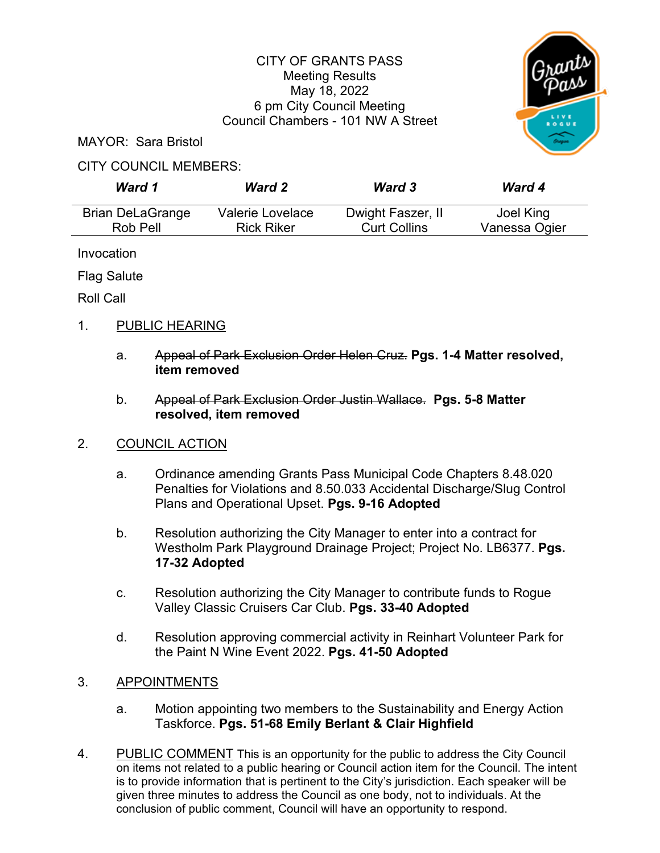### CITY OF GRANTS PASS Meeting Results May 18, 2022 6 pm City Council Meeting Council Chambers - 101 NW A Street



MAYOR: Sara Bristol

#### CITY COUNCIL MEMBERS:

| Ward 1                  | <b>Ward 2</b>     | <b>Ward 3</b>       | <b>Ward 4</b> |
|-------------------------|-------------------|---------------------|---------------|
| <b>Brian DeLaGrange</b> | Valerie Lovelace  | Dwight Faszer, II   | Joel King     |
| Rob Pell                | <b>Rick Riker</b> | <b>Curt Collins</b> | Vanessa Ogier |

Invocation

Flag Salute

Roll Call

# 1. PUBLIC HEARING

- a. Appeal of Park Exclusion Order Helen Cruz. **Pgs. 1-4 Matter resolved, item removed**
- b. Appeal of Park Exclusion Order Justin Wallace. **Pgs. 5-8 Matter resolved, item removed**

# 2. COUNCIL ACTION

- a. Ordinance amending Grants Pass Municipal Code Chapters 8.48.020 Penalties for Violations and 8.50.033 Accidental Discharge/Slug Control Plans and Operational Upset. **Pgs. 9-16 Adopted**
- b. Resolution authorizing the City Manager to enter into a contract for Westholm Park Playground Drainage Project; Project No. LB6377. **Pgs. 17-32 Adopted**
- c. Resolution authorizing the City Manager to contribute funds to Rogue Valley Classic Cruisers Car Club. **Pgs. 33-40 Adopted**
- d. Resolution approving commercial activity in Reinhart Volunteer Park for the Paint N Wine Event 2022. **Pgs. 41-50 Adopted**
- 3. APPOINTMENTS
	- a. Motion appointing two members to the Sustainability and Energy Action Taskforce. **Pgs. 51-68 Emily Berlant & Clair Highfield**
- 4. PUBLIC COMMENT This is an opportunity for the public to address the City Council on items not related to a public hearing or Council action item for the Council. The intent is to provide information that is pertinent to the City's jurisdiction. Each speaker will be given three minutes to address the Council as one body, not to individuals. At the conclusion of public comment, Council will have an opportunity to respond.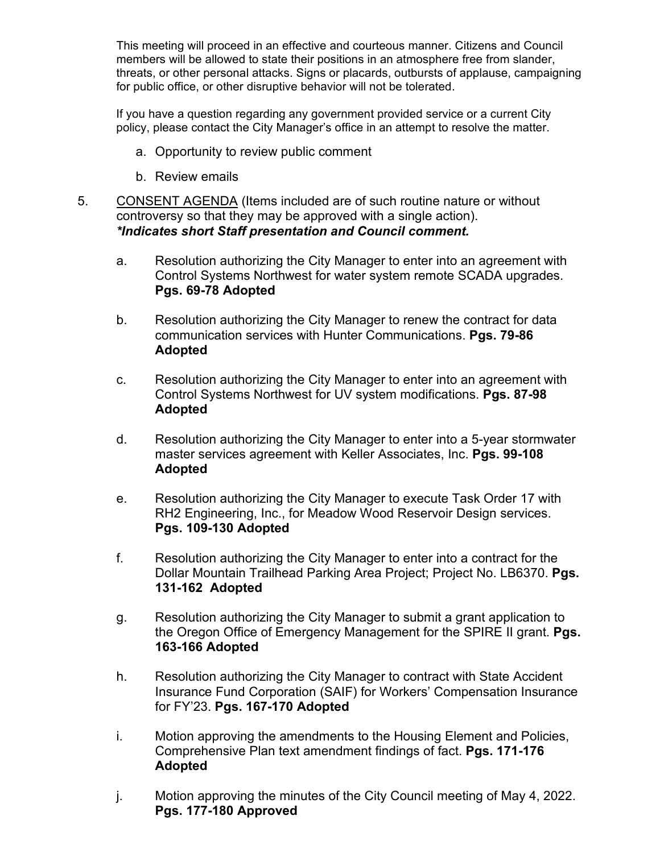This meeting will proceed in an effective and courteous manner. Citizens and Council members will be allowed to state their positions in an atmosphere free from slander, threats, or other personal attacks. Signs or placards, outbursts of applause, campaigning for public office, or other disruptive behavior will not be tolerated.

If you have a question regarding any government provided service or a current City policy, please contact the City Manager's office in an attempt to resolve the matter.

- a. Opportunity to review public comment
- b. Review emails
- 5. CONSENT AGENDA (Items included are of such routine nature or without controversy so that they may be approved with a single action). *\*Indicates short Staff presentation and Council comment.* 
	- a. Resolution authorizing the City Manager to enter into an agreement with Control Systems Northwest for water system remote SCADA upgrades. **Pgs. 69-78 Adopted**
	- b. Resolution authorizing the City Manager to renew the contract for data communication services with Hunter Communications. **Pgs. 79-86 Adopted**
	- c. Resolution authorizing the City Manager to enter into an agreement with Control Systems Northwest for UV system modifications. **Pgs. 87-98 Adopted**
	- d. Resolution authorizing the City Manager to enter into a 5-year stormwater master services agreement with Keller Associates, Inc. **Pgs. 99-108 Adopted**
	- e. Resolution authorizing the City Manager to execute Task Order 17 with RH2 Engineering, Inc., for Meadow Wood Reservoir Design services. **Pgs. 109-130 Adopted**
	- f. Resolution authorizing the City Manager to enter into a contract for the Dollar Mountain Trailhead Parking Area Project; Project No. LB6370. **Pgs. 131-162 Adopted**
	- g. Resolution authorizing the City Manager to submit a grant application to the Oregon Office of Emergency Management for the SPIRE II grant. **Pgs. 163-166 Adopted**
	- h. Resolution authorizing the City Manager to contract with State Accident Insurance Fund Corporation (SAIF) for Workers' Compensation Insurance for FY'23. **Pgs. 167-170 Adopted**
	- i. Motion approving the amendments to the Housing Element and Policies, Comprehensive Plan text amendment findings of fact. **Pgs. 171-176 Adopted**
	- j. Motion approving the minutes of the City Council meeting of May 4, 2022. **Pgs. 177-180 Approved**